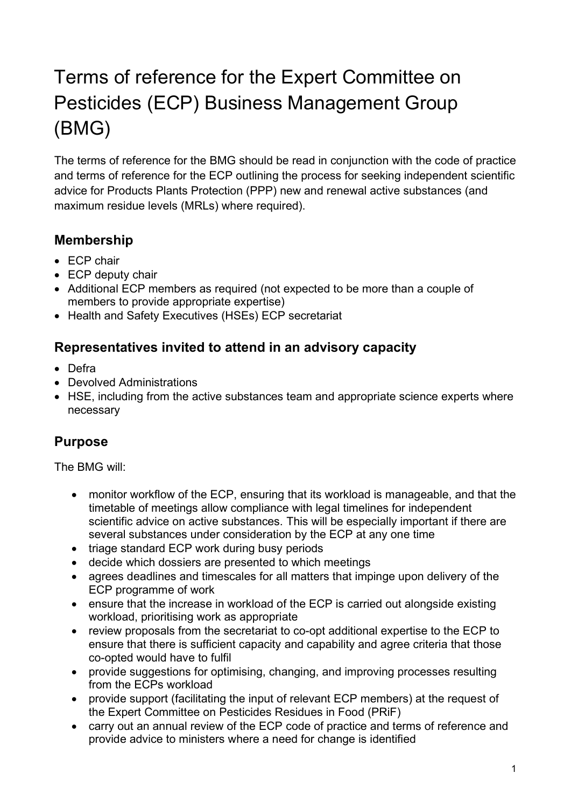# Terms of reference for the Expert Committee on Pesticides (ECP) Business Management Group (BMG)

The terms of reference for the BMG should be read in conjunction with the code of practice and terms of reference for the ECP outlining the process for seeking independent scientific advice for Products Plants Protection (PPP) new and renewal active substances (and maximum residue levels (MRLs) where required).

## **Membership**

- ECP chair
- ECP deputy chair
- Additional ECP members as required (not expected to be more than a couple of members to provide appropriate expertise)
- Health and Safety Executives (HSEs) ECP secretariat

#### **Representatives invited to attend in an advisory capacity**

- Defra
- Devolved Administrations
- HSE, including from the active substances team and appropriate science experts where necessary

#### **Purpose**

The BMG will:

- monitor workflow of the ECP, ensuring that its workload is manageable, and that the timetable of meetings allow compliance with legal timelines for independent scientific advice on active substances. This will be especially important if there are several substances under consideration by the ECP at any one time
- triage standard ECP work during busy periods
- decide which dossiers are presented to which meetings
- agrees deadlines and timescales for all matters that impinge upon delivery of the ECP programme of work
- ensure that the increase in workload of the ECP is carried out alongside existing workload, prioritising work as appropriate
- review proposals from the secretariat to co-opt additional expertise to the ECP to ensure that there is sufficient capacity and capability and agree criteria that those co-opted would have to fulfil
- provide suggestions for optimising, changing, and improving processes resulting from the ECPs workload
- provide support (facilitating the input of relevant ECP members) at the request of the Expert Committee on Pesticides Residues in Food (PRiF)
- carry out an annual review of the ECP code of practice and terms of reference and provide advice to ministers where a need for change is identified